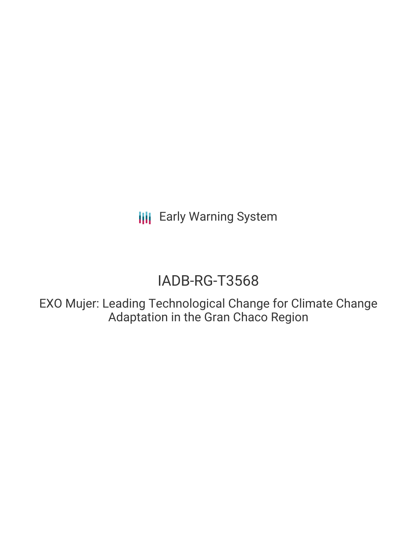**III** Early Warning System

# IADB-RG-T3568

EXO Mujer: Leading Technological Change for Climate Change Adaptation in the Gran Chaco Region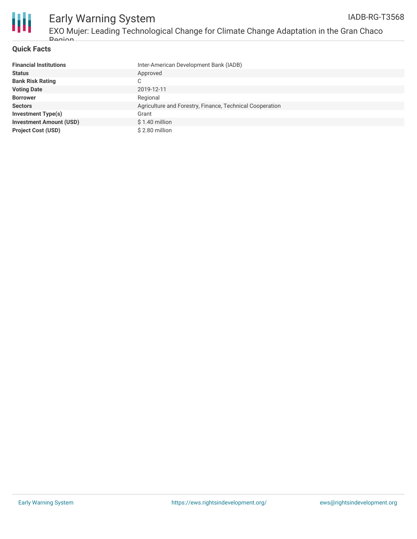

### **Quick Facts**

| <b>Financial Institutions</b>  | Inter-American Development Bank (IADB)                   |
|--------------------------------|----------------------------------------------------------|
| <b>Status</b>                  | Approved                                                 |
| <b>Bank Risk Rating</b>        | C                                                        |
| <b>Voting Date</b>             | 2019-12-11                                               |
| <b>Borrower</b>                | Regional                                                 |
| <b>Sectors</b>                 | Agriculture and Forestry, Finance, Technical Cooperation |
| <b>Investment Type(s)</b>      | Grant                                                    |
| <b>Investment Amount (USD)</b> | $$1.40$ million                                          |
| <b>Project Cost (USD)</b>      | \$2.80 million                                           |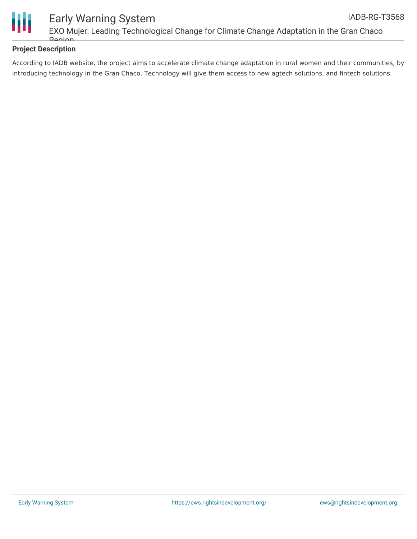

### **Project Description**

According to IADB website, the project aims to accelerate climate change adaptation in rural women and their communities, by introducing technology in the Gran Chaco. Technology will give them access to new agtech solutions, and fintech solutions.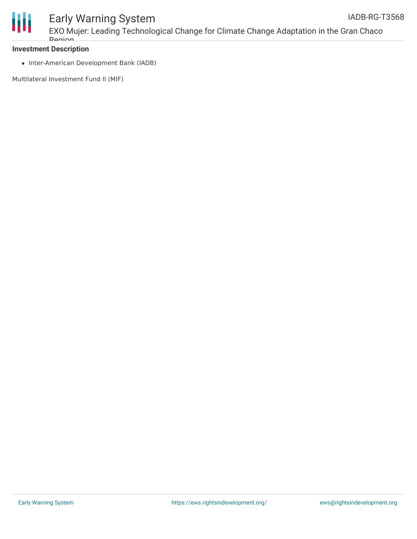

## Early Warning System

EXO Mujer: Leading Technological Change for Climate Change Adaptation in the Gran Chaco Dogion

### **Investment Description**

• Inter-American Development Bank (IADB)

Multilateral Investment Fund II (MIF)